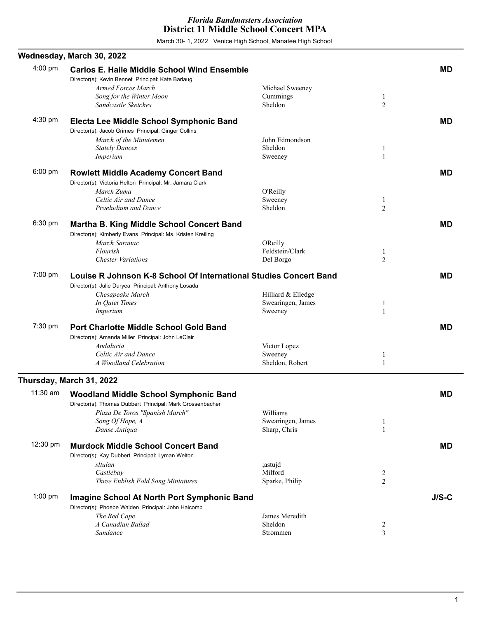March 30- 1, 2022 Venice High School, Manatee High School

|           | Wednesday, March 30, 2022                                                                                                                                                       |                                                    |                                  |           |
|-----------|---------------------------------------------------------------------------------------------------------------------------------------------------------------------------------|----------------------------------------------------|----------------------------------|-----------|
| 4:00 pm   | <b>Carlos E. Haile Middle School Wind Ensemble</b><br>Director(s): Kevin Bennet Principal: Kate Barlaug                                                                         |                                                    |                                  | <b>MD</b> |
|           | Armed Forces March<br>Song for the Winter Moon<br>Sandcastle Sketches                                                                                                           | Michael Sweeney<br>Cummings<br>Sheldon             | $\mathbf{1}$<br>$\overline{2}$   |           |
| 4:30 pm   | Electa Lee Middle School Symphonic Band<br>Director(s): Jacob Grimes Principal: Ginger Collins                                                                                  |                                                    |                                  | <b>MD</b> |
|           | March of the Minutemen<br><b>Stately Dances</b><br>Imperium                                                                                                                     | John Edmondson<br>Sheldon<br>Sweeney               | 1<br>1                           |           |
| 6:00 pm   | <b>Rowlett Middle Academy Concert Band</b><br>Director(s): Victoria Helton Principal: Mr. Jamara Clark<br>March Zuma                                                            | O'Reilly                                           |                                  | <b>MD</b> |
|           | Celtic Air and Dance<br>Praeludium and Dance                                                                                                                                    | Sweeney<br>Sheldon                                 | $\mathbf{1}$<br>$\overline{c}$   |           |
| 6:30 pm   | <b>Martha B. King Middle School Concert Band</b><br>Director(s): Kimberly Evans Principal: Ms. Kristen Kreiling<br>March Saranac                                                | <b>OReilly</b>                                     |                                  | <b>MD</b> |
|           | Flourish<br><b>Chester Variations</b>                                                                                                                                           | Feldstein/Clark<br>Del Borgo                       | $\mathbf{1}$<br>$\overline{c}$   |           |
| 7:00 pm   | Louise R Johnson K-8 School Of International Studies Concert Band<br>Director(s): Julie Duryea Principal: Anthony Losada<br>Chesapeake March<br>In Quiet Times<br>Imperium      | Hilliard & Elledge<br>Swearingen, James<br>Sweeney | 1<br>1                           | MD        |
| 7:30 pm   | Port Charlotte Middle School Gold Band<br>Director(s): Amanda Miller Principal: John LeClair<br>Andalucia                                                                       | Victor Lopez                                       |                                  | MD        |
|           | Celtic Air and Dance<br>A Woodland Celebration                                                                                                                                  | Sweeney<br>Sheldon, Robert                         | 1<br>1                           |           |
|           | Thursday, March 31, 2022                                                                                                                                                        |                                                    |                                  |           |
| 11:30 am  | <b>Woodland Middle School Symphonic Band</b><br>Director(s): Thomas Dubbert Principal: Mark Grossenbacher<br>Plaza De Toros "Spanish March"<br>Song Of Hope, A<br>Danse Antiqua | Williams<br>Swearingen, James<br>Sharp, Chris      | 1<br>$\mathbf{1}$                | MD        |
| 12:30 pm  | <b>Murdock Middle School Concert Band</b><br>Director(s): Kay Dubbert Principal: Lyman Welton<br>sltulan<br>Castlebay<br>Three Enblish Fold Song Miniatures                     | ;astujd<br>Milford<br>Sparke, Philip               | $\overline{c}$<br>$\overline{2}$ | MD        |
| $1:00$ pm | <b>Imagine School At North Port Symphonic Band</b><br>Director(s): Phoebe Walden Principal: John Halcomb<br>The Red Cape                                                        | James Meredith                                     |                                  | $J/S-C$   |
|           | A Canadian Ballad<br>Sundance                                                                                                                                                   | Sheldon<br>Strommen                                | $\overline{c}$<br>3              |           |